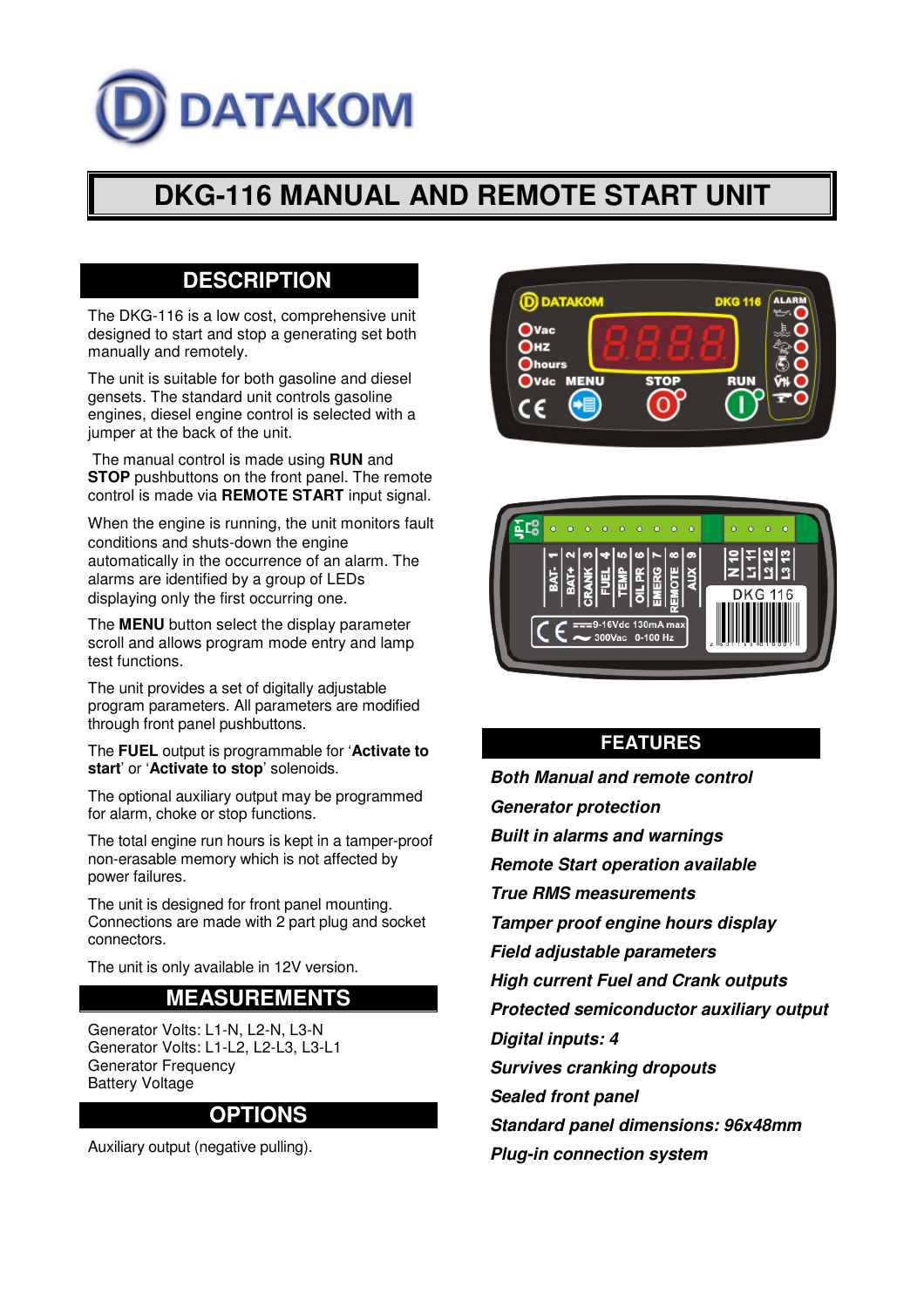# **DATAKOM**

## **DKG-116 MANUAL AND REMOTE START UNIT**

### **DESCRIPTION**

The DKG-116 is a low cost, comprehensive unit designed to start and stop a generating set both manually and remotely.

The unit is suitable for both gasoline and diesel gensets. The standard unit controls gasoline engines, diesel engine control is selected with a jumper at the back of the unit.

 The manual control is made using **RUN** and **STOP** pushbuttons on the front panel. The remote control is made via **REMOTE START** input signal.

When the engine is running, the unit monitors fault conditions and shuts-down the engine automatically in the occurrence of an alarm. The alarms are identified by a group of LEDs displaying only the first occurring one.

The **MENU** button select the display parameter scroll and allows program mode entry and lamp test functions.

The unit provides a set of digitally adjustable program parameters. All parameters are modified through front panel pushbuttons.

The **FUEL** output is programmable for '**Activate to start**' or '**Activate to stop**' solenoids.

The optional auxiliary output may be programmed for alarm, choke or stop functions.

The total engine run hours is kept in a tamper-proof non-erasable memory which is not affected by power failures.

The unit is designed for front panel mounting. Connections are made with 2 part plug and socket connectors.

The unit is only available in 12V version.

#### **MEASUREMENTS**

Generator Volts: L1-N, L2-N, L3-N Generator Volts: L1-L2, L2-L3, L3-L1 Generator Frequency Battery Voltage

#### **OPTIONS**

Auxiliary output (negative pulling).





#### **FEATURES**

- **Both Manual and remote control**
- **Generator protection**
- **Built in alarms and warnings**
- **Remote Start operation available**
- **True RMS measurements**

**Tamper proof engine hours display** 

- **Field adjustable parameters**
- **High current Fuel and Crank outputs**

**Protected semiconductor auxiliary output** 

**Digital inputs: 4** 

**Survives cranking dropouts** 

**Sealed front panel** 

**Standard panel dimensions: 96x48mm** 

**Plug-in connection system**